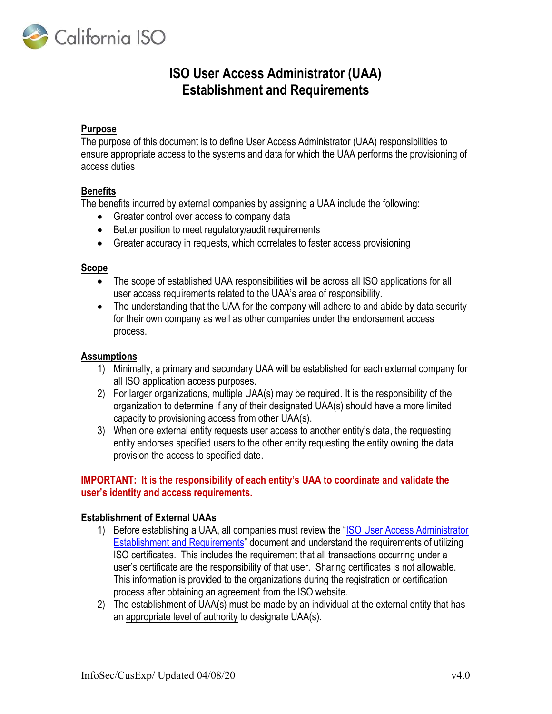

# ISO User Access Administrator (UAA) Establishment and Requirements

### Purpose

The purpose of this document is to define User Access Administrator (UAA) responsibilities to ensure appropriate access to the systems and data for which the UAA performs the provisioning of access duties

### **Benefits**

The benefits incurred by external companies by assigning a UAA include the following:

- Greater control over access to company data
- Better position to meet regulatory/audit requirements
- Greater accuracy in requests, which correlates to faster access provisioning

#### Scope

- The scope of established UAA responsibilities will be across all ISO applications for all user access requirements related to the UAA's area of responsibility.
- The understanding that the UAA for the company will adhere to and abide by data security for their own company as well as other companies under the endorsement access process.

### **Assumptions**

- 1) Minimally, a primary and secondary UAA will be established for each external company for all ISO application access purposes.
- 2) For larger organizations, multiple UAA(s) may be required. It is the responsibility of the organization to determine if any of their designated UAA(s) should have a more limited capacity to provisioning access from other UAA(s).
- 3) When one external entity requests user access to another entity's data, the requesting entity endorses specified users to the other entity requesting the entity owning the data provision the access to specified date.

## IMPORTANT: It is the responsibility of each entity's UAA to coordinate and validate the user's identity and access requirements.

## Establishment of External UAAs

- 1) Before establishing a UAA, all companies must review the "ISO User Access Administrator Establishment and Requirements" document and understand the requirements of utilizing ISO certificates. This includes the requirement that all transactions occurring under a user's certificate are the responsibility of that user. Sharing certificates is not allowable. This information is provided to the organizations during the registration or certification process after obtaining an agreement from the ISO website.
- 2) The establishment of UAA(s) must be made by an individual at the external entity that has an appropriate level of authority to designate UAA(s).